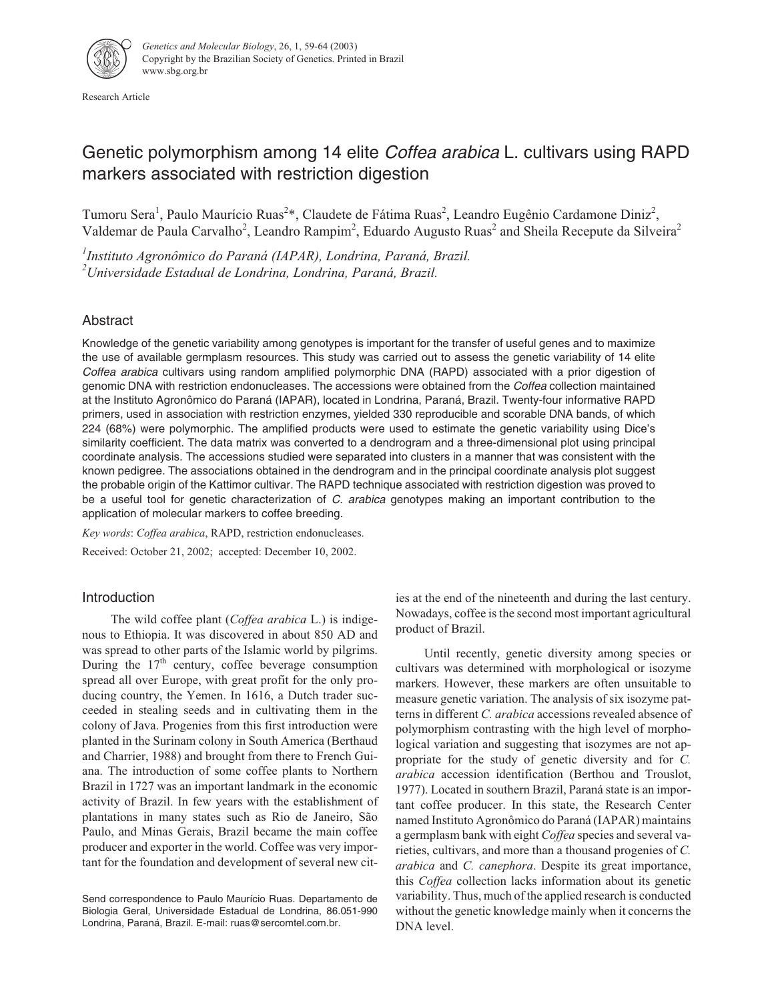

Research Article

# Genetic polymorphism among 14 elite *Coffea arabica* L. cultivars using RAPD markers associated with restriction digestion

Tumoru Sera<sup>1</sup>, Paulo Maurício Ruas<sup>2</sup>\*, Claudete de Fátima Ruas<sup>2</sup>, Leandro Eugênio Cardamone Diniz<sup>2</sup>, Valdemar de Paula Carvalho<sup>2</sup>, Leandro Rampim<sup>2</sup>, Eduardo Augusto Ruas<sup>2</sup> and Sheila Recepute da Silveira<sup>2</sup>

*1 Instituto Agronômico do Paraná (IAPAR), Londrina, Paraná, Brazil. 2 Universidade Estadual de Londrina, Londrina, Paraná, Brazil.*

# Abstract

Knowledge of the genetic variability among genotypes is important for the transfer of useful genes and to maximize the use of available germplasm resources. This study was carried out to assess the genetic variability of 14 elite Coffea arabica cultivars using random amplified polymorphic DNA (RAPD) associated with a prior digestion of genomic DNA with restriction endonucleases. The accessions were obtained from the Coffea collection maintained at the Instituto Agronômico do Paraná (IAPAR), located in Londrina, Paraná, Brazil. Twenty-four informative RAPD primers, used in association with restriction enzymes, yielded 330 reproducible and scorable DNA bands, of which 224 (68%) were polymorphic. The amplified products were used to estimate the genetic variability using Dice's similarity coefficient. The data matrix was converted to a dendrogram and a three-dimensional plot using principal coordinate analysis. The accessions studied were separated into clusters in a manner that was consistent with the known pedigree. The associations obtained in the dendrogram and in the principal coordinate analysis plot suggest the probable origin of the Kattimor cultivar. The RAPD technique associated with restriction digestion was proved to be a useful tool for genetic characterization of C. arabica genotypes making an important contribution to the application of molecular markers to coffee breeding.

*Key words*: *Coffea arabica*, RAPD, restriction endonucleases.

Received: October 21, 2002; accepted: December 10, 2002.

# Introduction

The wild coffee plant (*Coffea arabica* L.) is indigenous to Ethiopia. It was discovered in about 850 AD and was spread to other parts of the Islamic world by pilgrims. During the  $17<sup>th</sup>$  century, coffee beverage consumption spread all over Europe, with great profit for the only producing country, the Yemen. In 1616, a Dutch trader succeeded in stealing seeds and in cultivating them in the colony of Java. Progenies from this first introduction were planted in the Surinam colony in South America (Berthaud and Charrier, 1988) and brought from there to French Guiana. The introduction of some coffee plants to Northern Brazil in 1727 was an important landmark in the economic activity of Brazil. In few years with the establishment of plantations in many states such as Rio de Janeiro, São Paulo, and Minas Gerais, Brazil became the main coffee producer and exporter in the world. Coffee was very important for the foundation and development of several new cit-

Send correspondence to Paulo Maurício Ruas. Departamento de Biologia Geral, Universidade Estadual de Londrina, 86.051-990 Londrina, Paraná, Brazil. E-mail: ruas@sercomtel.com.br.

ies at the end of the nineteenth and during the last century. Nowadays, coffee is the second most important agricultural product of Brazil.

Until recently, genetic diversity among species or cultivars was determined with morphological or isozyme markers. However, these markers are often unsuitable to measure genetic variation. The analysis of six isozyme patterns in different *C. arabica* accessions revealed absence of polymorphism contrasting with the high level of morphological variation and suggesting that isozymes are not appropriate for the study of genetic diversity and for *C. arabica* accession identification (Berthou and Trouslot, 1977). Located in southern Brazil, Paraná state is an important coffee producer. In this state, the Research Center named Instituto Agronômico do Paraná (IAPAR) maintains a germplasm bank with eight *Coffea* species and several varieties, cultivars, and more than a thousand progenies of *C. arabica* and *C. canephora*. Despite its great importance, this *Coffea* collection lacks information about its genetic variability. Thus, much of the applied research is conducted without the genetic knowledge mainly when it concerns the DNA level.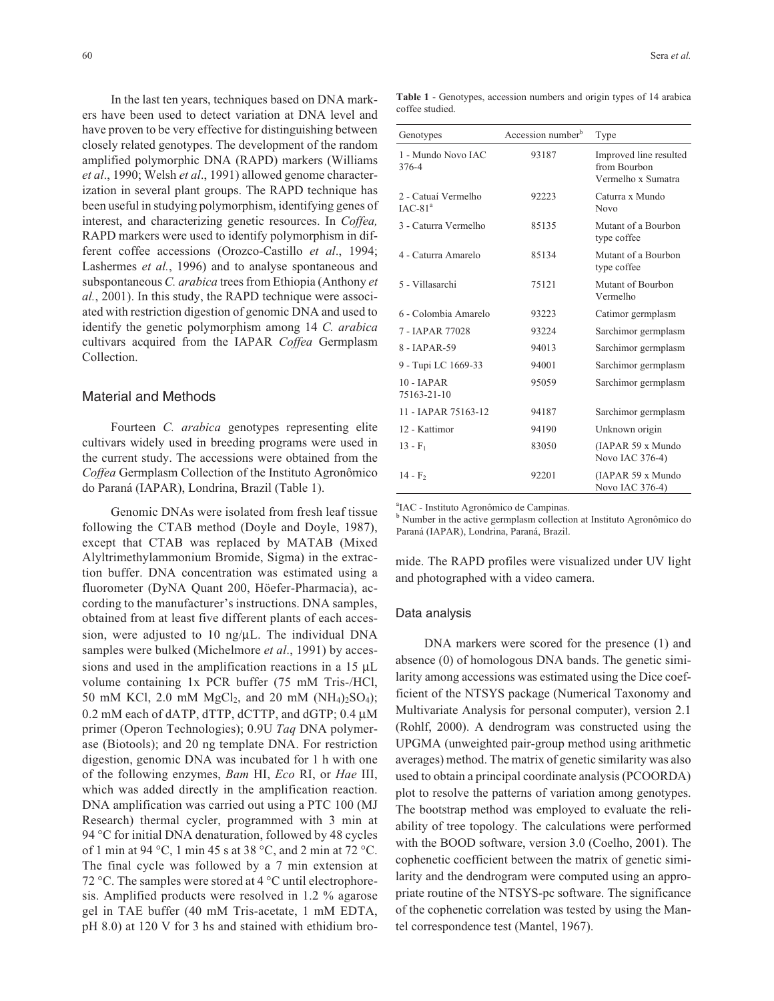In the last ten years, techniques based on DNA markers have been used to detect variation at DNA level and have proven to be very effective for distinguishing between closely related genotypes. The development of the random amplified polymorphic DNA (RAPD) markers (Williams *et al*., 1990; Welsh *et al*., 1991) allowed genome characterization in several plant groups. The RAPD technique has been useful in studying polymorphism, identifying genes of interest, and characterizing genetic resources. In *Coffea,* RAPD markers were used to identify polymorphism in different coffee accessions (Orozco-Castillo *et al*., 1994; Lashermes *et al.*, 1996) and to analyse spontaneous and subspontaneous *C. arabica* trees from Ethiopia (Anthony *et al.*, 2001). In this study, the RAPD technique were associated with restriction digestion of genomic DNA and used to identify the genetic polymorphism among 14 *C. arabica* cultivars acquired from the IAPAR *Coffea* Germplasm Collection.

## Material and Methods

Fourteen *C. arabica* genotypes representing elite cultivars widely used in breeding programs were used in the current study. The accessions were obtained from the *Coffea* Germplasm Collection of the Instituto Agronômico do Paraná (IAPAR), Londrina, Brazil (Table 1).

Genomic DNAs were isolated from fresh leaf tissue following the CTAB method (Doyle and Doyle, 1987), except that CTAB was replaced by MATAB (Mixed Alyltrimethylammonium Bromide, Sigma) in the extraction buffer. DNA concentration was estimated using a fluorometer (DyNA Quant 200, Höefer-Pharmacia), according to the manufacturer's instructions. DNA samples, obtained from at least five different plants of each accession, were adjusted to 10 ng/µL. The individual DNA samples were bulked (Michelmore *et al*., 1991) by accessions and used in the amplification reactions in a 15 µL volume containing 1x PCR buffer (75 mM Tris-/HCl, 50 mM KCl, 2.0 mM  $MgCl_2$ , and 20 mM  $(NH_4)_2SO_4$ ; 0.2 mM each of dATP, dTTP, dCTTP, and dGTP; 0.4 µM primer (Operon Technologies); 0.9U *Taq* DNA polymerase (Biotools); and 20 ng template DNA. For restriction digestion, genomic DNA was incubated for 1 h with one of the following enzymes, *Bam* HI, *Eco* RI, or *Hae* III, which was added directly in the amplification reaction. DNA amplification was carried out using a PTC 100 (MJ Research) thermal cycler, programmed with 3 min at 94 °C for initial DNA denaturation, followed by 48 cycles of 1 min at 94 °C, 1 min 45 s at 38 °C, and 2 min at 72 °C. The final cycle was followed by a 7 min extension at 72 °C. The samples were stored at 4 °C until electrophoresis. Amplified products were resolved in 1.2 % agarose gel in TAE buffer (40 mM Tris-acetate, 1 mM EDTA, pH 8.0) at 120 V for 3 hs and stained with ethidium bro-

**Table 1** - Genotypes, accession numbers and origin types of 14 arabica coffee studied.

| Genotypes                        | Accession number <sup>b</sup> | Type                                                         |
|----------------------------------|-------------------------------|--------------------------------------------------------------|
| 1 - Mundo Novo JAC<br>376-4      | 93187                         | Improved line resulted<br>from Bourbon<br>Vermelho x Sumatra |
| 2 - Catuaí Vermelho<br>$IAC-81a$ | 92223                         | Caturra x Mundo<br><b>Novo</b>                               |
| 3 - Caturra Vermelho             | 85135                         | Mutant of a Bourbon<br>type coffee                           |
| 4 - Caturra Amarelo              | 85134                         | Mutant of a Bourbon<br>type coffee                           |
| 5 - Villasarchi                  | 75121                         | Mutant of Bourbon<br>Vermelho                                |
| 6 - Colombia Amarelo             | 93223                         | Catimor germplasm                                            |
| 7 - JAPAR 77028                  | 93224                         | Sarchimor germplasm                                          |
| 8 - JAPAR-59                     | 94013                         | Sarchimor germplasm                                          |
| 9 - Tupi LC 1669-33              | 94001                         | Sarchimor germplasm                                          |
| $10 - IAPAR$<br>75163-21-10      | 95059                         | Sarchimor germplasm                                          |
| 11 - JAPAR 75163-12              | 94187                         | Sarchimor germplasm                                          |
| 12 - Kattimor                    | 94190                         | Unknown origin                                               |
| $13 - F_1$                       | 83050                         | (IAPAR 59 x Mundo<br>Novo IAC 376-4)                         |
| $14 - F_2$                       | 92201                         | (IAPAR 59 x Mundo<br>Novo IAC 376-4)                         |

a IAC - Instituto Agronômico de Campinas.

<sup>b</sup> Number in the active germplasm collection at Instituto Agronômico do Paraná (IAPAR), Londrina, Paraná, Brazil.

mide. The RAPD profiles were visualized under UV light and photographed with a video camera.

#### Data analysis

DNA markers were scored for the presence (1) and absence (0) of homologous DNA bands. The genetic similarity among accessions was estimated using the Dice coefficient of the NTSYS package (Numerical Taxonomy and Multivariate Analysis for personal computer), version 2.1 (Rohlf, 2000). A dendrogram was constructed using the UPGMA (unweighted pair-group method using arithmetic averages) method. The matrix of genetic similarity was also used to obtain a principal coordinate analysis (PCOORDA) plot to resolve the patterns of variation among genotypes. The bootstrap method was employed to evaluate the reliability of tree topology. The calculations were performed with the BOOD software, version 3.0 (Coelho, 2001). The cophenetic coefficient between the matrix of genetic similarity and the dendrogram were computed using an appropriate routine of the NTSYS-pc software. The significance of the cophenetic correlation was tested by using the Mantel correspondence test (Mantel, 1967).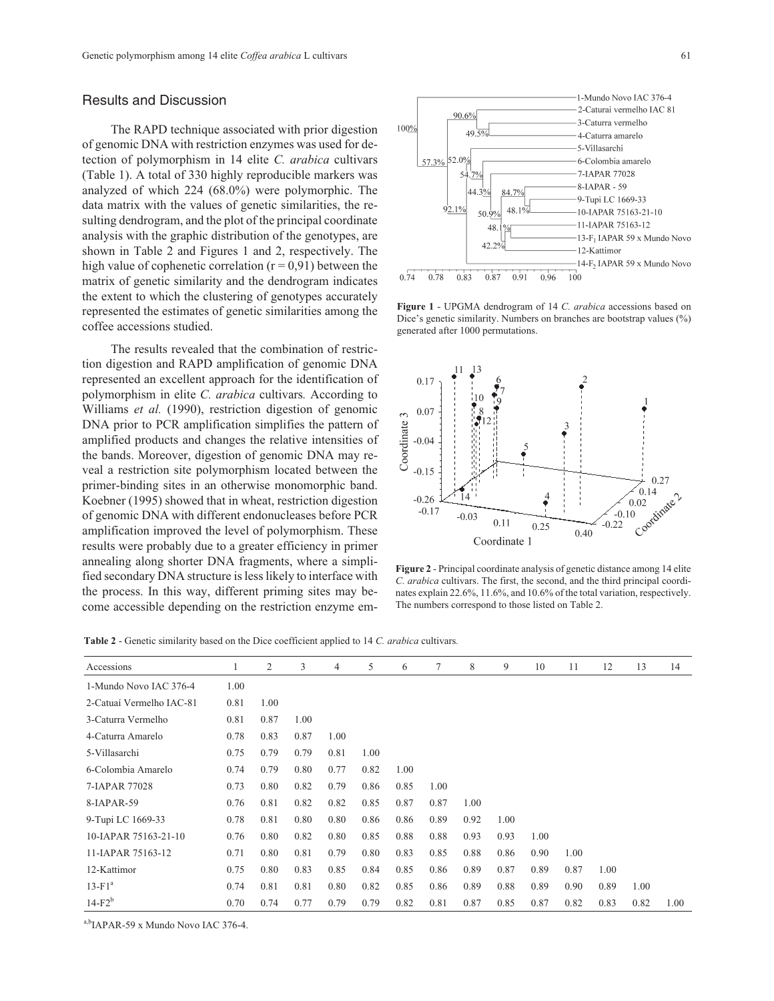# Results and Discussion

The RAPD technique associated with prior digestion of genomic DNA with restriction enzymes was used for detection of polymorphism in 14 elite *C. arabica* cultivars (Table 1). A total of 330 highly reproducible markers was analyzed of which 224 (68.0%) were polymorphic. The data matrix with the values of genetic similarities, the resulting dendrogram, and the plot of the principal coordinate analysis with the graphic distribution of the genotypes, are shown in Table 2 and Figures 1 and 2, respectively. The high value of cophenetic correlation  $(r = 0.91)$  between the matrix of genetic similarity and the dendrogram indicates the extent to which the clustering of genotypes accurately represented the estimates of genetic similarities among the coffee accessions studied.

The results revealed that the combination of restriction digestion and RAPD amplification of genomic DNA represented an excellent approach for the identification of polymorphism in elite *C. arabica* cultivars*.* According to Williams *et al.* (1990), restriction digestion of genomic DNA prior to PCR amplification simplifies the pattern of amplified products and changes the relative intensities of the bands. Moreover, digestion of genomic DNA may reveal a restriction site polymorphism located between the primer-binding sites in an otherwise monomorphic band. Koebner (1995) showed that in wheat, restriction digestion of genomic DNA with different endonucleases before PCR amplification improved the level of polymorphism. These results were probably due to a greater efficiency in primer annealing along shorter DNA fragments, where a simplified secondary DNA structure is less likely to interface with the process. In this way, different priming sites may become accessible depending on the restriction enzyme em-



**Figure 1** - UPGMA dendrogram of 14 *C. arabica* accessions based on Dice's genetic similarity. Numbers on branches are bootstrap values (%) generated after 1000 permutations.



**Figure 2** - Principal coordinate analysis of genetic distance among 14 elite *C. arabica* cultivars. The first, the second, and the third principal coordinates explain 22.6%, 11.6%, and 10.6% of the total variation, respectively. The numbers correspond to those listed on Table 2.

**Table 2** - Genetic similarity based on the Dice coefficient applied to 14 *C. arabica* cultivars*.*

| Accessions               |      | 2    | 3    | $\overline{4}$ | 5    | 6    | 7    | 8    | 9    | 10   | 11   | 12   | 13   | 14   |
|--------------------------|------|------|------|----------------|------|------|------|------|------|------|------|------|------|------|
| 1-Mundo Novo JAC 376-4   | 1.00 |      |      |                |      |      |      |      |      |      |      |      |      |      |
| 2-Catuaí Vermelho IAC-81 | 0.81 | 1.00 |      |                |      |      |      |      |      |      |      |      |      |      |
| 3-Caturra Vermelho       | 0.81 | 0.87 | 1.00 |                |      |      |      |      |      |      |      |      |      |      |
| 4-Caturra Amarelo        | 0.78 | 0.83 | 0.87 | 1.00           |      |      |      |      |      |      |      |      |      |      |
| 5-Villasarchi            | 0.75 | 0.79 | 0.79 | 0.81           | 1.00 |      |      |      |      |      |      |      |      |      |
| 6-Colombia Amarelo       | 0.74 | 0.79 | 0.80 | 0.77           | 0.82 | 1.00 |      |      |      |      |      |      |      |      |
| 7-JAPAR 77028            | 0.73 | 0.80 | 0.82 | 0.79           | 0.86 | 0.85 | 1.00 |      |      |      |      |      |      |      |
| 8-IAPAR-59               | 0.76 | 0.81 | 0.82 | 0.82           | 0.85 | 0.87 | 0.87 | 1.00 |      |      |      |      |      |      |
| 9-Tupi LC 1669-33        | 0.78 | 0.81 | 0.80 | 0.80           | 0.86 | 0.86 | 0.89 | 0.92 | 1.00 |      |      |      |      |      |
| 10-IAPAR 75163-21-10     | 0.76 | 0.80 | 0.82 | 0.80           | 0.85 | 0.88 | 0.88 | 0.93 | 0.93 | 1.00 |      |      |      |      |
| 11-JAPAR 75163-12        | 0.71 | 0.80 | 0.81 | 0.79           | 0.80 | 0.83 | 0.85 | 0.88 | 0.86 | 0.90 | 1.00 |      |      |      |
| 12-Kattimor              | 0.75 | 0.80 | 0.83 | 0.85           | 0.84 | 0.85 | 0.86 | 0.89 | 0.87 | 0.89 | 0.87 | 1.00 |      |      |
| $13-F1a$                 | 0.74 | 0.81 | 0.81 | 0.80           | 0.82 | 0.85 | 0.86 | 0.89 | 0.88 | 0.89 | 0.90 | 0.89 | 1.00 |      |
| $14-F2^b$                | 0.70 | 0.74 | 0.77 | 0.79           | 0.79 | 0.82 | 0.81 | 0.87 | 0.85 | 0.87 | 0.82 | 0.83 | 0.82 | 1.00 |

a,b<sub>IAPAR-59</sub> x Mundo Novo IAC 376-4.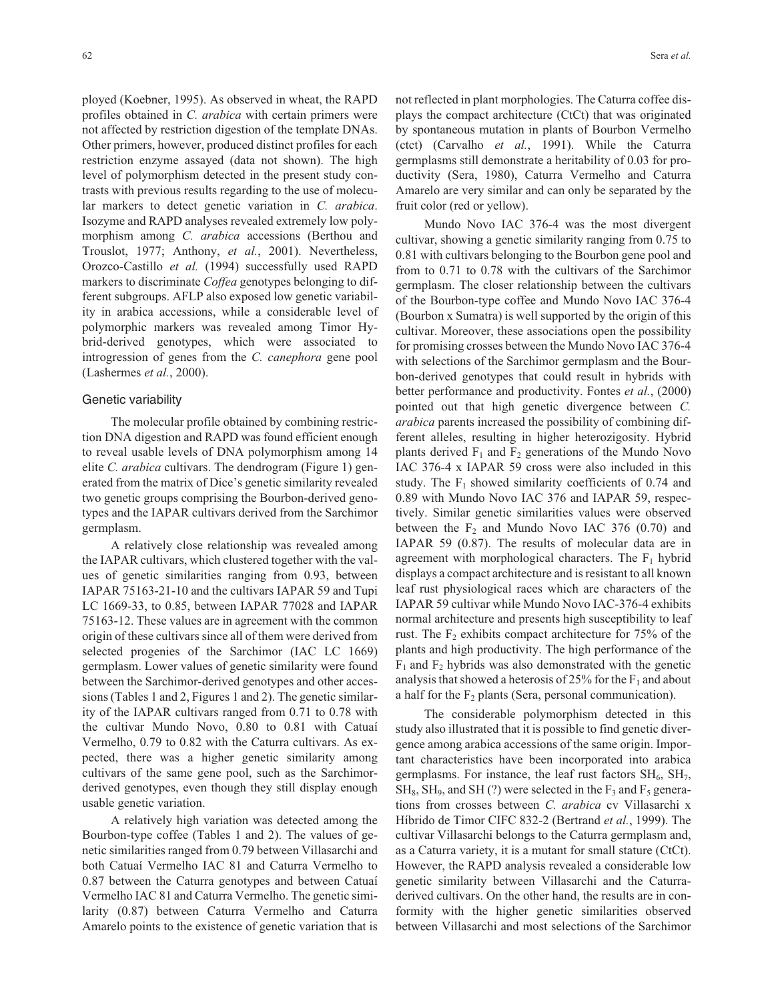ployed (Koebner, 1995). As observed in wheat, the RAPD profiles obtained in *C. arabica* with certain primers were not affected by restriction digestion of the template DNAs. Other primers, however, produced distinct profiles for each restriction enzyme assayed (data not shown). The high level of polymorphism detected in the present study contrasts with previous results regarding to the use of molecular markers to detect genetic variation in *C. arabica*. Isozyme and RAPD analyses revealed extremely low polymorphism among *C. arabica* accessions (Berthou and Trouslot, 1977; Anthony, *et al.*, 2001). Nevertheless, Orozco-Castillo *et al.* (1994) successfully used RAPD markers to discriminate *Coffea* genotypes belonging to different subgroups. AFLP also exposed low genetic variability in arabica accessions, while a considerable level of polymorphic markers was revealed among Timor Hybrid-derived genotypes, which were associated to introgression of genes from the *C. canephora* gene pool (Lashermes *et al.*, 2000).

#### Genetic variability

The molecular profile obtained by combining restriction DNA digestion and RAPD was found efficient enough to reveal usable levels of DNA polymorphism among 14 elite *C. arabica* cultivars. The dendrogram (Figure 1) generated from the matrix of Dice's genetic similarity revealed two genetic groups comprising the Bourbon-derived genotypes and the IAPAR cultivars derived from the Sarchimor germplasm.

A relatively close relationship was revealed among the IAPAR cultivars, which clustered together with the values of genetic similarities ranging from 0.93, between IAPAR 75163-21-10 and the cultivars IAPAR 59 and Tupi LC 1669-33, to 0.85, between IAPAR 77028 and IAPAR 75163-12. These values are in agreement with the common origin of these cultivars since all of them were derived from selected progenies of the Sarchimor (IAC LC 1669) germplasm. Lower values of genetic similarity were found between the Sarchimor-derived genotypes and other accessions (Tables 1 and 2, Figures 1 and 2). The genetic similarity of the IAPAR cultivars ranged from 0.71 to 0.78 with the cultivar Mundo Novo, 0.80 to 0.81 with Catuaí Vermelho, 0.79 to 0.82 with the Caturra cultivars. As expected, there was a higher genetic similarity among cultivars of the same gene pool, such as the Sarchimorderived genotypes, even though they still display enough usable genetic variation.

A relatively high variation was detected among the Bourbon-type coffee (Tables 1 and 2). The values of genetic similarities ranged from 0.79 between Villasarchi and both Catuaí Vermelho IAC 81 and Caturra Vermelho to 0.87 between the Caturra genotypes and between Catuaí Vermelho IAC 81 and Caturra Vermelho. The genetic similarity (0.87) between Caturra Vermelho and Caturra Amarelo points to the existence of genetic variation that is

not reflected in plant morphologies. The Caturra coffee displays the compact architecture (CtCt) that was originated by spontaneous mutation in plants of Bourbon Vermelho (ctct) (Carvalho *et al.*, 1991). While the Caturra germplasms still demonstrate a heritability of 0.03 for productivity (Sera, 1980), Caturra Vermelho and Caturra Amarelo are very similar and can only be separated by the fruit color (red or yellow).

Mundo Novo IAC 376-4 was the most divergent cultivar, showing a genetic similarity ranging from 0.75 to 0.81 with cultivars belonging to the Bourbon gene pool and from to 0.71 to 0.78 with the cultivars of the Sarchimor germplasm. The closer relationship between the cultivars of the Bourbon-type coffee and Mundo Novo IAC 376-4 (Bourbon x Sumatra) is well supported by the origin of this cultivar. Moreover, these associations open the possibility for promising crosses between the Mundo Novo IAC 376-4 with selections of the Sarchimor germplasm and the Bourbon-derived genotypes that could result in hybrids with better performance and productivity. Fontes *et al.*, (2000) pointed out that high genetic divergence between *C. arabica* parents increased the possibility of combining different alleles, resulting in higher heterozigosity. Hybrid plants derived  $F_1$  and  $F_2$  generations of the Mundo Novo IAC 376-4 x IAPAR 59 cross were also included in this study. The  $F_1$  showed similarity coefficients of 0.74 and 0.89 with Mundo Novo IAC 376 and IAPAR 59, respectively. Similar genetic similarities values were observed between the  $F_2$  and Mundo Novo IAC 376 (0.70) and IAPAR 59 (0.87). The results of molecular data are in agreement with morphological characters. The  $F_1$  hybrid displays a compact architecture and is resistant to all known leaf rust physiological races which are characters of the IAPAR 59 cultivar while Mundo Novo IAC-376-4 exhibits normal architecture and presents high susceptibility to leaf rust. The  $F<sub>2</sub>$  exhibits compact architecture for 75% of the plants and high productivity. The high performance of the  $F_1$  and  $F_2$  hybrids was also demonstrated with the genetic analysis that showed a heterosis of 25% for the  $F_1$  and about a half for the  $F_2$  plants (Sera, personal communication).

The considerable polymorphism detected in this study also illustrated that it is possible to find genetic divergence among arabica accessions of the same origin. Important characteristics have been incorporated into arabica germplasms. For instance, the leaf rust factors  $SH_6$ ,  $SH_7$ ,  $SH_8$ ,  $SH_9$ , and  $SH(?)$  were selected in the  $F_3$  and  $F_5$  generations from crosses between *C. arabica* cv Villasarchi x Híbrido de Timor CIFC 832-2 (Bertrand *et al.*, 1999). The cultivar Villasarchi belongs to the Caturra germplasm and, as a Caturra variety, it is a mutant for small stature (CtCt). However, the RAPD analysis revealed a considerable low genetic similarity between Villasarchi and the Caturraderived cultivars. On the other hand, the results are in conformity with the higher genetic similarities observed between Villasarchi and most selections of the Sarchimor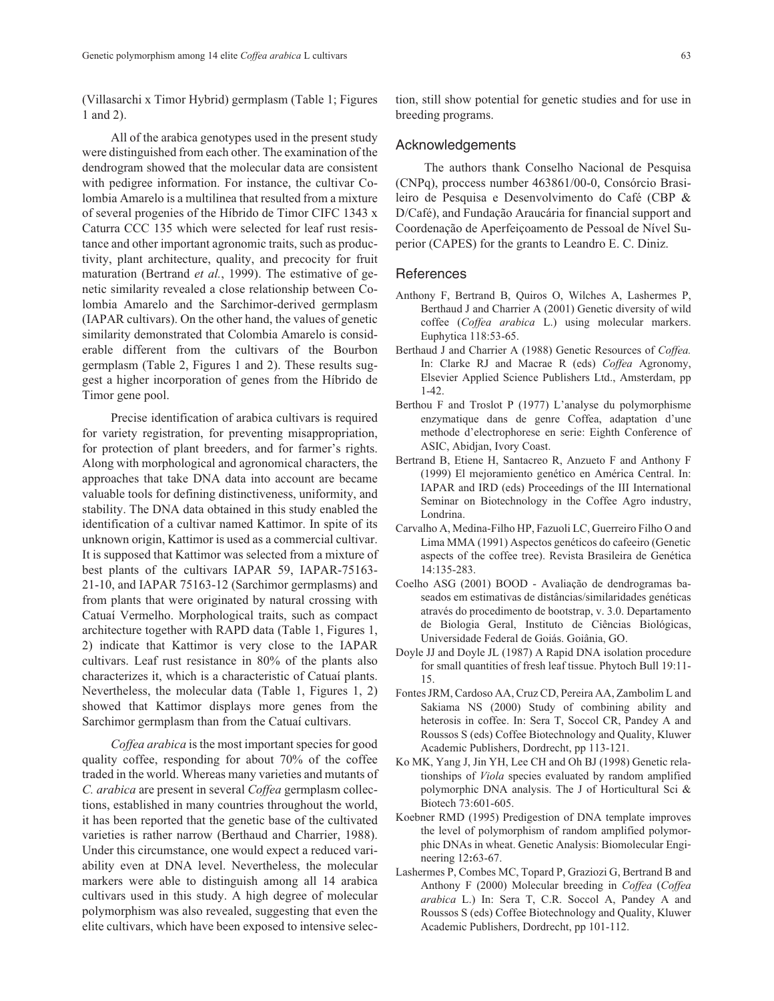(Villasarchi x Timor Hybrid) germplasm (Table 1; Figures 1 and 2).

All of the arabica genotypes used in the present study were distinguished from each other. The examination of the dendrogram showed that the molecular data are consistent with pedigree information. For instance, the cultivar Colombia Amarelo is a multilinea that resulted from a mixture of several progenies of the Híbrido de Timor CIFC 1343 x Caturra CCC 135 which were selected for leaf rust resistance and other important agronomic traits, such as productivity, plant architecture, quality, and precocity for fruit maturation (Bertrand *et al.*, 1999). The estimative of genetic similarity revealed a close relationship between Colombia Amarelo and the Sarchimor-derived germplasm (IAPAR cultivars). On the other hand, the values of genetic similarity demonstrated that Colombia Amarelo is considerable different from the cultivars of the Bourbon germplasm (Table 2, Figures 1 and 2). These results suggest a higher incorporation of genes from the Híbrido de Timor gene pool.

Precise identification of arabica cultivars is required for variety registration, for preventing misappropriation, for protection of plant breeders, and for farmer's rights. Along with morphological and agronomical characters, the approaches that take DNA data into account are became valuable tools for defining distinctiveness, uniformity, and stability. The DNA data obtained in this study enabled the identification of a cultivar named Kattimor. In spite of its unknown origin, Kattimor is used as a commercial cultivar. It is supposed that Kattimor was selected from a mixture of best plants of the cultivars IAPAR 59, IAPAR-75163- 21-10, and IAPAR 75163-12 (Sarchimor germplasms) and from plants that were originated by natural crossing with Catuaí Vermelho. Morphological traits, such as compact architecture together with RAPD data (Table 1, Figures 1, 2) indicate that Kattimor is very close to the IAPAR cultivars. Leaf rust resistance in 80% of the plants also characterizes it, which is a characteristic of Catuaí plants. Nevertheless, the molecular data (Table 1, Figures 1, 2) showed that Kattimor displays more genes from the Sarchimor germplasm than from the Catuaí cultivars.

*Coffea arabica* is the most important species for good quality coffee, responding for about 70% of the coffee traded in the world. Whereas many varieties and mutants of *C. arabica* are present in several *Coffea* germplasm collections, established in many countries throughout the world, it has been reported that the genetic base of the cultivated varieties is rather narrow (Berthaud and Charrier, 1988). Under this circumstance, one would expect a reduced variability even at DNA level. Nevertheless, the molecular markers were able to distinguish among all 14 arabica cultivars used in this study. A high degree of molecular polymorphism was also revealed, suggesting that even the elite cultivars, which have been exposed to intensive selection, still show potential for genetic studies and for use in breeding programs.

## Acknowledgements

The authors thank Conselho Nacional de Pesquisa (CNPq), proccess number 463861/00-0, Consórcio Brasileiro de Pesquisa e Desenvolvimento do Café (CBP & D/Café), and Fundação Araucária for financial support and Coordenação de Aperfeiçoamento de Pessoal de Nível Superior (CAPES) for the grants to Leandro E. C. Diniz.

## References

- Anthony F, Bertrand B, Quiros O, Wilches A, Lashermes P, Berthaud J and Charrier A (2001) Genetic diversity of wild coffee (*Coffea arabica* L.) using molecular markers. Euphytica 118:53-65.
- Berthaud J and Charrier A (1988) Genetic Resources of *Coffea.* In: Clarke RJ and Macrae R (eds) *Coffea* Agronomy, Elsevier Applied Science Publishers Ltd., Amsterdam, pp 1-42.
- Berthou F and Troslot P (1977) L'analyse du polymorphisme enzymatique dans de genre Coffea, adaptation d'une methode d'electrophorese en serie: Eighth Conference of ASIC, Abidjan, Ivory Coast.
- Bertrand B, Etiene H, Santacreo R, Anzueto F and Anthony F (1999) El mejoramiento genético en América Central. In: IAPAR and IRD (eds) Proceedings of the III International Seminar on Biotechnology in the Coffee Agro industry, Londrina.
- Carvalho A, Medina-Filho HP, Fazuoli LC, Guerreiro Filho O and Lima MMA (1991) Aspectos genéticos do cafeeiro (Genetic aspects of the coffee tree). Revista Brasileira de Genética 14:135-283.
- Coelho ASG (2001) BOOD Avaliação de dendrogramas baseados em estimativas de distâncias/similaridades genéticas através do procedimento de bootstrap, v. 3.0. Departamento de Biologia Geral, Instituto de Ciências Biológicas, Universidade Federal de Goiás. Goiânia, GO.
- Doyle JJ and Doyle JL (1987) A Rapid DNA isolation procedure for small quantities of fresh leaf tissue. Phytoch Bull 19:11- 15.
- Fontes JRM, Cardoso AA, Cruz CD, Pereira AA, Zambolim L and Sakiama NS (2000) Study of combining ability and heterosis in coffee. In: Sera T, Soccol CR, Pandey A and Roussos S (eds) Coffee Biotechnology and Quality, Kluwer Academic Publishers, Dordrecht, pp 113-121.
- Ko MK, Yang J, Jin YH, Lee CH and Oh BJ (1998) Genetic relationships of *Viola* species evaluated by random amplified polymorphic DNA analysis. The J of Horticultural Sci & Biotech 73:601-605.
- Koebner RMD (1995) Predigestion of DNA template improves the level of polymorphism of random amplified polymorphic DNAs in wheat. Genetic Analysis: Biomolecular Engineering 12**:**63-67.
- Lashermes P, Combes MC, Topard P, Graziozi G, Bertrand B and Anthony F (2000) Molecular breeding in *Coffea* (*Coffea arabica* L.) In: Sera T, C.R. Soccol A, Pandey A and Roussos S (eds) Coffee Biotechnology and Quality, Kluwer Academic Publishers, Dordrecht, pp 101-112.